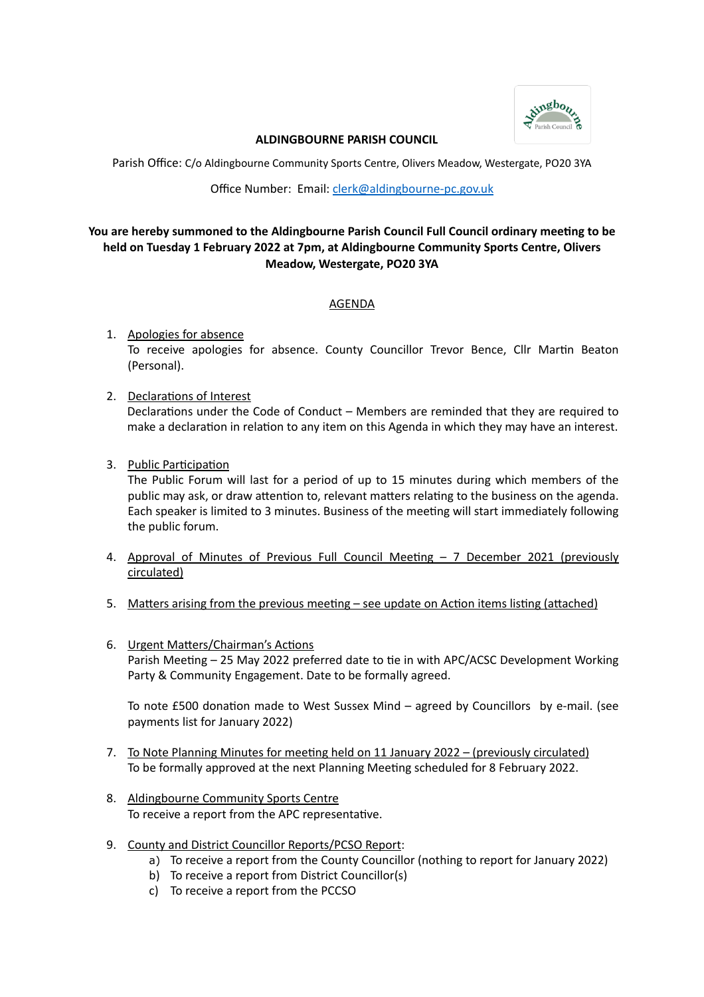

### **ALDINGBOURNE PARISH COUNCIL**

Parish Office: C/o Aldingbourne Community Sports Centre, Olivers Meadow, Westergate, PO20 3YA

Office Number: Email: [clerk@aldingbourne-pc.gov.uk](mailto:clerk@aldingbourne-pc.gov.uk)

# **You are hereby summoned to the Aldingbourne Parish Council Full Council ordinary meeting to be held on Tuesday 1 February 2022 at 7pm, at Aldingbourne Community Sports Centre, Olivers Meadow, Westergate, PO20 3YA**

## AGENDA

- 1. Apologies for absence To receive apologies for absence. County Councillor Trevor Bence, Cllr Martin Beaton (Personal).
- 2. Declarations of Interest Declarations under the Code of Conduct – Members are reminded that they are required to make a declaration in relation to any item on this Agenda in which they may have an interest.
- 3. Public Participation

The Public Forum will last for a period of up to 15 minutes during which members of the public may ask, or draw attention to, relevant matters relating to the business on the agenda. Each speaker is limited to 3 minutes. Business of the meeting will start immediately following the public forum.

- 4. Approval of Minutes of Previous Full Council Meeting 7 December 2021 (previously circulated)
- 5. Matters arising from the previous meeting see update on Action items listing (attached)
- 6. Urgent Matters/Chairman's Actions Parish Meeting – 25 May 2022 preferred date to tie in with APC/ACSC Development Working Party & Community Engagement. Date to be formally agreed.

To note £500 donation made to West Sussex Mind – agreed by Councillors by e-mail. (see payments list for January 2022)

- 7. To Note Planning Minutes for meeting held on 11 January 2022 (previously circulated) To be formally approved at the next Planning Meeting scheduled for 8 February 2022.
- 8. Aldingbourne Community Sports Centre To receive a report from the APC representative.
- 9. County and District Councillor Reports/PCSO Report:
	- a) To receive a report from the County Councillor (nothing to report for January 2022)
	- b) To receive a report from District Councillor(s)
	- c) To receive a report from the PCCSO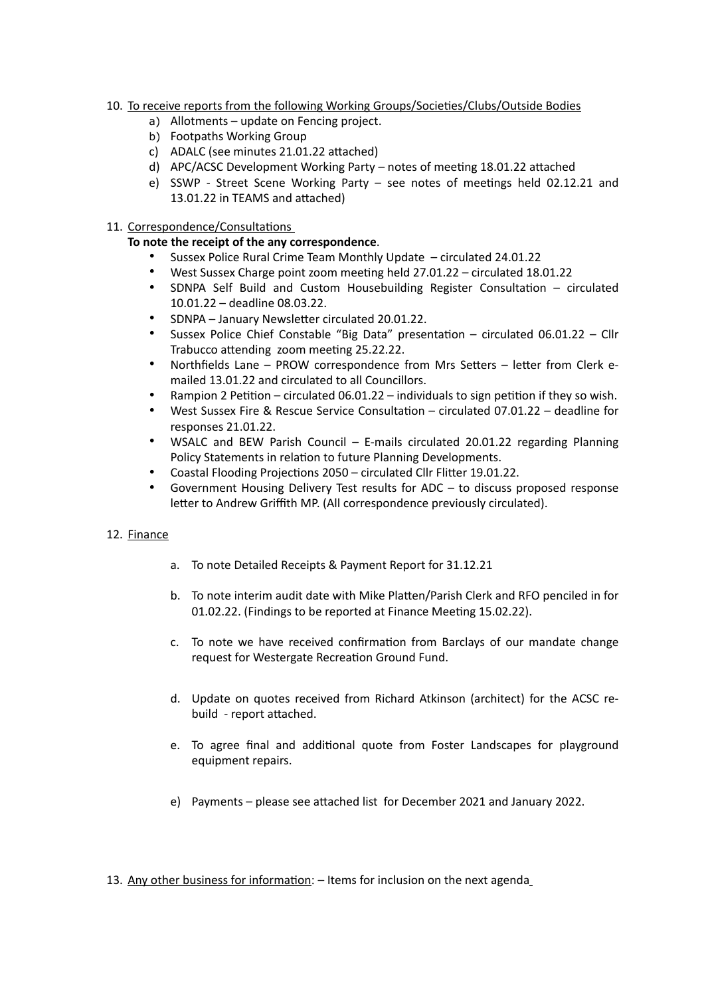- 10. To receive reports from the following Working Groups/Societies/Clubs/Outside Bodies
	- a) Allotments update on Fencing project.
	- b) Footpaths Working Group
	- c) ADALC (see minutes 21.01.22 attached)
	- d) APC/ACSC Development Working Party notes of meeting 18.01.22 attached
	- e) SSWP Street Scene Working Party see notes of meetings held 02.12.21 and 13.01.22 in TEAMS and attached)
- 11. Correspondence/Consultations

### **To note the receipt of the any correspondence**.

- Sussex Police Rural Crime Team Monthly Update circulated 24.01.22
- West Sussex Charge point zoom meeting held 27.01.22 circulated 18.01.22
- SDNPA Self Build and Custom Housebuilding Register Consultation circulated 10.01.22 – deadline 08.03.22.
- SDNPA January Newsletter circulated 20.01.22.
- Sussex Police Chief Constable "Big Data" presentation circulated 06.01.22 Cllr Trabucco attending zoom meeting 25.22.22.
- Northfields Lane PROW correspondence from Mrs Setters letter from Clerk emailed 13.01.22 and circulated to all Councillors.
- Rampion 2 Petition circulated 06.01.22 individuals to sign petition if they so wish.
- West Sussex Fire & Rescue Service Consultation circulated 07.01.22 deadline for responses 21.01.22.
- WSALC and BEW Parish Council E-mails circulated 20.01.22 regarding Planning Policy Statements in relation to future Planning Developments.
- Coastal Flooding Projections 2050 circulated Cllr Flitter 19.01.22.
- Government Housing Delivery Test results for ADC to discuss proposed response letter to Andrew Griffith MP. (All correspondence previously circulated).

### 12. Finance

- a. To note Detailed Receipts & Payment Report for 31.12.21
- b. To note interim audit date with Mike Platten/Parish Clerk and RFO penciled in for 01.02.22. (Findings to be reported at Finance Meeting 15.02.22).
- c. To note we have received confirmation from Barclays of our mandate change request for Westergate Recreation Ground Fund.
- d. Update on quotes received from Richard Atkinson (architect) for the ACSC rebuild - report attached.
- e. To agree final and additional quote from Foster Landscapes for playground equipment repairs.
- e) Payments please see attached list for December 2021 and January 2022.
- 13. Any other business for information: Items for inclusion on the next agenda